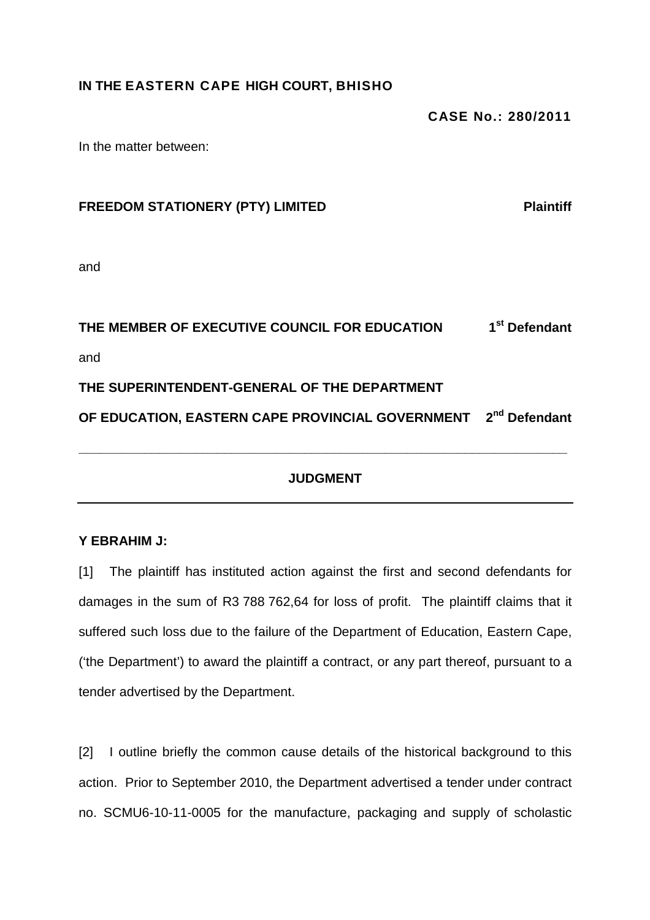## **IN THE EASTERN CAPE HIGH COURT, BHISHO**

**CASE No.: 280/2011** 

In the matter between:

| <b>FREEDOM STATIONERY (PTY) LIMITED</b> | <b>Plaintiff</b> |
|-----------------------------------------|------------------|
|                                         |                  |

and

## **THE MEMBER OF EXECUTIVE COUNCIL FOR EDUCATION 1st Defendant**  and **THE SUPERINTENDENT-GENERAL OF THE DEPARTMENT OF EDUCATION, EASTERN CAPE PROVINCIAL GOVERNMENT 2nd Defendant \_\_\_\_\_\_\_\_\_\_\_\_\_\_\_\_\_\_\_\_\_\_\_\_\_\_\_\_\_\_\_\_\_\_\_\_\_\_\_\_\_\_\_\_\_\_\_\_\_\_\_\_\_\_\_\_\_\_\_\_\_\_\_\_\_\_\_**

## **JUDGMENT**

## **Y EBRAHIM J:**

[1] The plaintiff has instituted action against the first and second defendants for damages in the sum of R3 788 762,64 for loss of profit. The plaintiff claims that it suffered such loss due to the failure of the Department of Education, Eastern Cape, ('the Department') to award the plaintiff a contract, or any part thereof, pursuant to a tender advertised by the Department.

[2] I outline briefly the common cause details of the historical background to this action. Prior to September 2010, the Department advertised a tender under contract no. SCMU6-10-11-0005 for the manufacture, packaging and supply of scholastic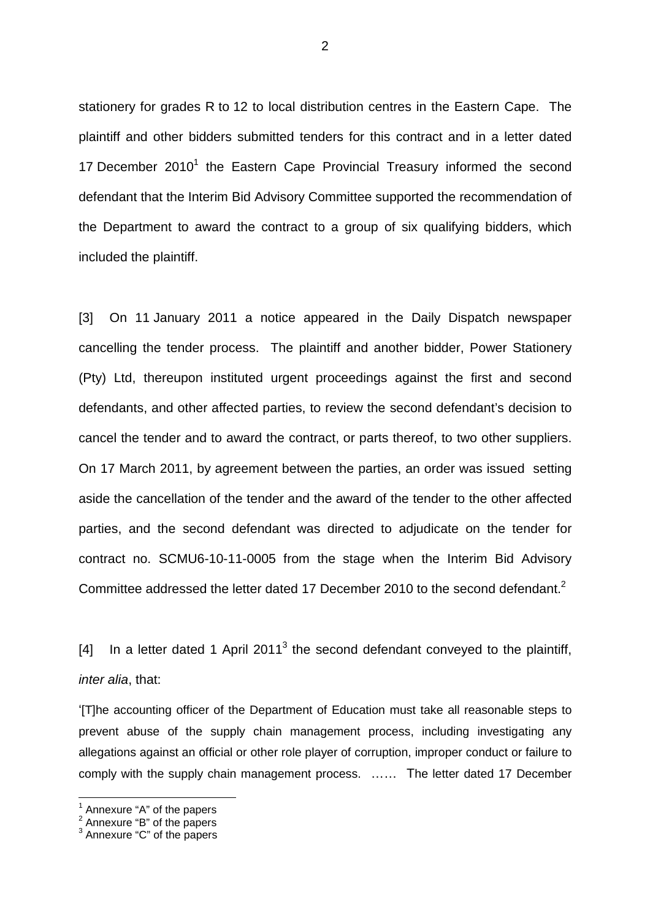stationery for grades R to 12 to local distribution centres in the Eastern Cape. The plaintiff and other bidders submitted tenders for this contract and in a letter dated 17 December 2010<sup>1</sup> the Eastern Cape Provincial Treasury informed the second defendant that the Interim Bid Advisory Committee supported the recommendation of the Department to award the contract to a group of six qualifying bidders, which included the plaintiff.

[3] On 11 January 2011 a notice appeared in the Daily Dispatch newspaper cancelling the tender process. The plaintiff and another bidder, Power Stationery (Pty) Ltd, thereupon instituted urgent proceedings against the first and second defendants, and other affected parties, to review the second defendant's decision to cancel the tender and to award the contract, or parts thereof, to two other suppliers. On 17 March 2011, by agreement between the parties, an order was issued setting aside the cancellation of the tender and the award of the tender to the other affected parties, and the second defendant was directed to adjudicate on the tender for contract no. SCMU6-10-11-0005 from the stage when the Interim Bid Advisory Committee addressed the letter dated 17 December 2010 to the second defendant.<sup>2</sup>

[4] In a letter dated 1 April 2011<sup>3</sup> the second defendant conveyed to the plaintiff, inter alia, that:

'[T]he accounting officer of the Department of Education must take all reasonable steps to prevent abuse of the supply chain management process, including investigating any allegations against an official or other role player of corruption, improper conduct or failure to comply with the supply chain management process. …… The letter dated 17 December

 $<sup>1</sup>$  Annexure "A" of the papers</sup>

 $^2$  Annexure "B" of the papers<br> $^3$  Annexure "C" of the papers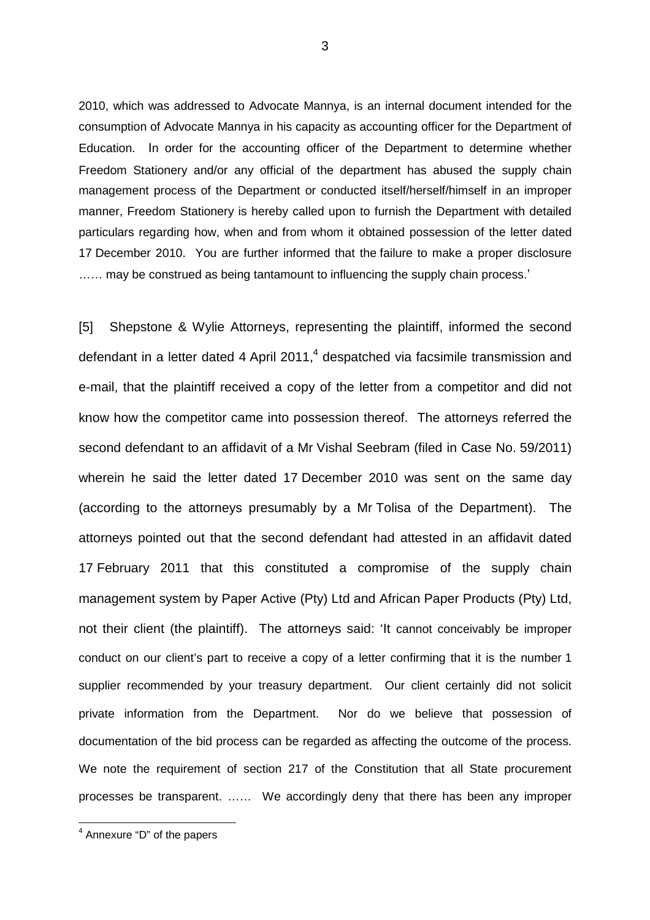2010, which was addressed to Advocate Mannya, is an internal document intended for the consumption of Advocate Mannya in his capacity as accounting officer for the Department of Education. In order for the accounting officer of the Department to determine whether Freedom Stationery and/or any official of the department has abused the supply chain management process of the Department or conducted itself/herself/himself in an improper manner, Freedom Stationery is hereby called upon to furnish the Department with detailed particulars regarding how, when and from whom it obtained possession of the letter dated 17 December 2010. You are further informed that the failure to make a proper disclosure ...... may be construed as being tantamount to influencing the supply chain process.'

[5] Shepstone & Wylie Attorneys, representing the plaintiff, informed the second defendant in a letter dated 4 April 2011,<sup>4</sup> despatched via facsimile transmission and e-mail, that the plaintiff received a copy of the letter from a competitor and did not know how the competitor came into possession thereof. The attorneys referred the second defendant to an affidavit of a Mr Vishal Seebram (filed in Case No. 59/2011) wherein he said the letter dated 17 December 2010 was sent on the same day (according to the attorneys presumably by a Mr Tolisa of the Department). The attorneys pointed out that the second defendant had attested in an affidavit dated 17 February 2011 that this constituted a compromise of the supply chain management system by Paper Active (Pty) Ltd and African Paper Products (Pty) Ltd, not their client (the plaintiff). The attorneys said: 'It cannot conceivably be improper conduct on our client's part to receive a copy of a letter confirming that it is the number 1 supplier recommended by your treasury department. Our client certainly did not solicit private information from the Department. Nor do we believe that possession of documentation of the bid process can be regarded as affecting the outcome of the process. We note the requirement of section 217 of the Constitution that all State procurement processes be transparent. …… We accordingly deny that there has been any improper

 4 Annexure "D" of the papers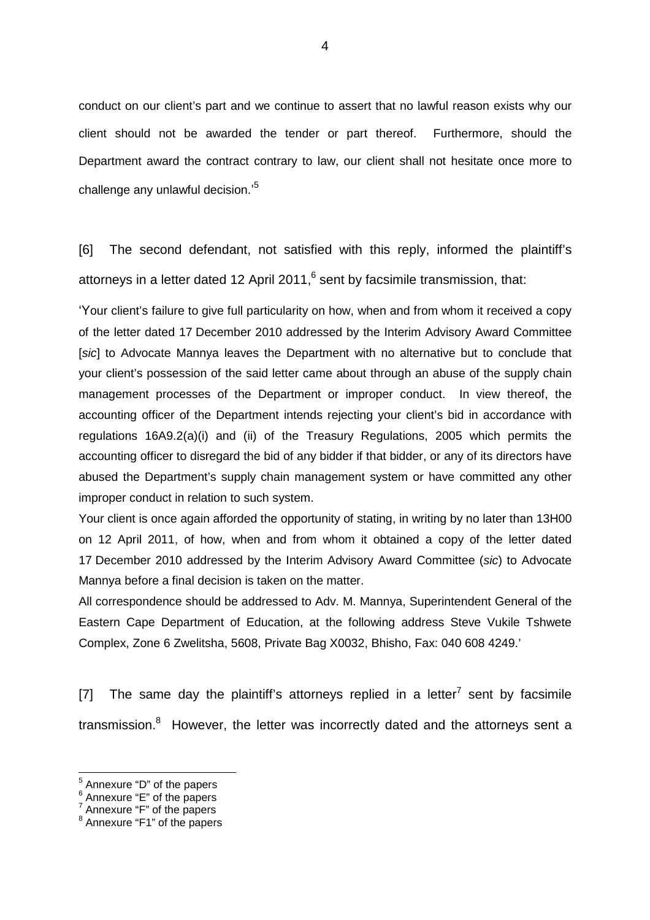conduct on our client's part and we continue to assert that no lawful reason exists why our client should not be awarded the tender or part thereof. Furthermore, should the Department award the contract contrary to law, our client shall not hesitate once more to challenge any unlawful decision.'<sup>5</sup>

[6] The second defendant, not satisfied with this reply, informed the plaintiff's attorneys in a letter dated 12 April 2011, $^6$  sent by facsimile transmission, that:

'Your client's failure to give full particularity on how, when and from whom it received a copy of the letter dated 17 December 2010 addressed by the Interim Advisory Award Committee [sic] to Advocate Mannya leaves the Department with no alternative but to conclude that your client's possession of the said letter came about through an abuse of the supply chain management processes of the Department or improper conduct. In view thereof, the accounting officer of the Department intends rejecting your client's bid in accordance with regulations 16A9.2(a)(i) and (ii) of the Treasury Regulations, 2005 which permits the accounting officer to disregard the bid of any bidder if that bidder, or any of its directors have abused the Department's supply chain management system or have committed any other improper conduct in relation to such system.

Your client is once again afforded the opportunity of stating, in writing by no later than 13H00 on 12 April 2011, of how, when and from whom it obtained a copy of the letter dated 17 December 2010 addressed by the Interim Advisory Award Committee (sic) to Advocate Mannya before a final decision is taken on the matter.

All correspondence should be addressed to Adv. M. Mannya, Superintendent General of the Eastern Cape Department of Education, at the following address Steve Vukile Tshwete Complex, Zone 6 Zwelitsha, 5608, Private Bag X0032, Bhisho, Fax: 040 608 4249.'

[7] The same day the plaintiff's attorneys replied in a letter<sup>7</sup> sent by facsimile transmission.<sup>8</sup> However, the letter was incorrectly dated and the attorneys sent a

<sup>&</sup>lt;sup>5</sup> Annexure "D" of the papers<br><sup>6</sup> Annexure "E" of the papers<br><sup>7</sup> Annexure "F" of the papers<br><sup>8</sup> Annexure "F1" of the papers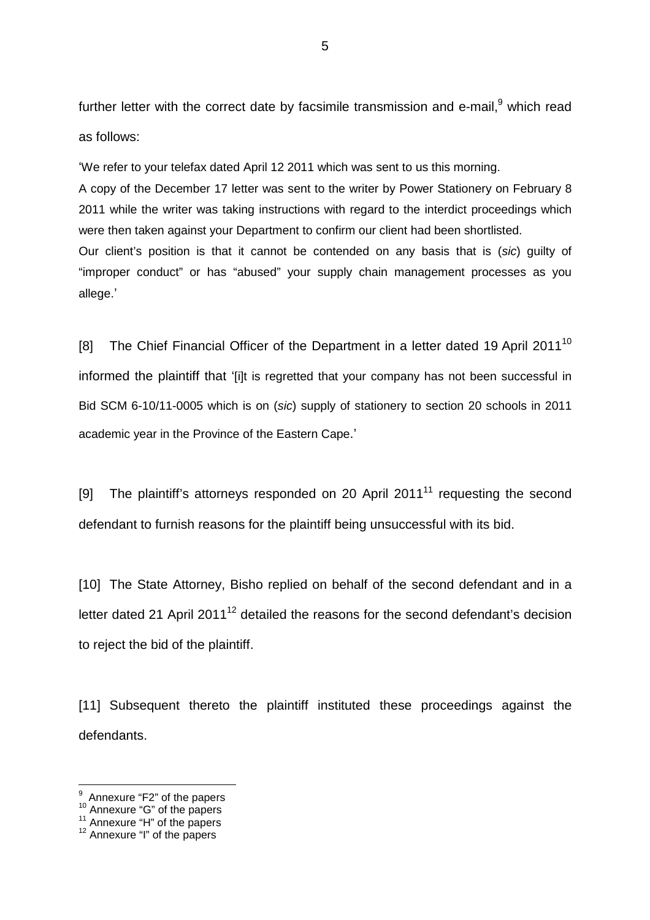further letter with the correct date by facsimile transmission and e-mail,  $9$  which read as follows:

'We refer to your telefax dated April 12 2011 which was sent to us this morning.

A copy of the December 17 letter was sent to the writer by Power Stationery on February 8 2011 while the writer was taking instructions with regard to the interdict proceedings which were then taken against your Department to confirm our client had been shortlisted.

Our client's position is that it cannot be contended on any basis that is (sic) guilty of "improper conduct" or has "abused" your supply chain management processes as you allege.'

[8] The Chief Financial Officer of the Department in a letter dated 19 April 2011<sup>10</sup> informed the plaintiff that '[i]t is regretted that your company has not been successful in Bid SCM 6-10/11-0005 which is on (sic) supply of stationery to section 20 schools in 2011 academic year in the Province of the Eastern Cape.'

[9] The plaintiff's attorneys responded on 20 April 2011 $<sup>11</sup>$  requesting the second</sup> defendant to furnish reasons for the plaintiff being unsuccessful with its bid.

[10] The State Attorney, Bisho replied on behalf of the second defendant and in a letter dated 21 April 2011 $<sup>12</sup>$  detailed the reasons for the second defendant's decision</sup> to reject the bid of the plaintiff.

[11] Subsequent thereto the plaintiff instituted these proceedings against the defendants.

end<br><sup>9</sup> Annexure "F2" of the papers

<sup>&</sup>lt;sup>10</sup> Annexure "G" of the papers

 $11$  Annexure "H" of the papers

<sup>&</sup>lt;sup>12</sup> Annexure "I" of the papers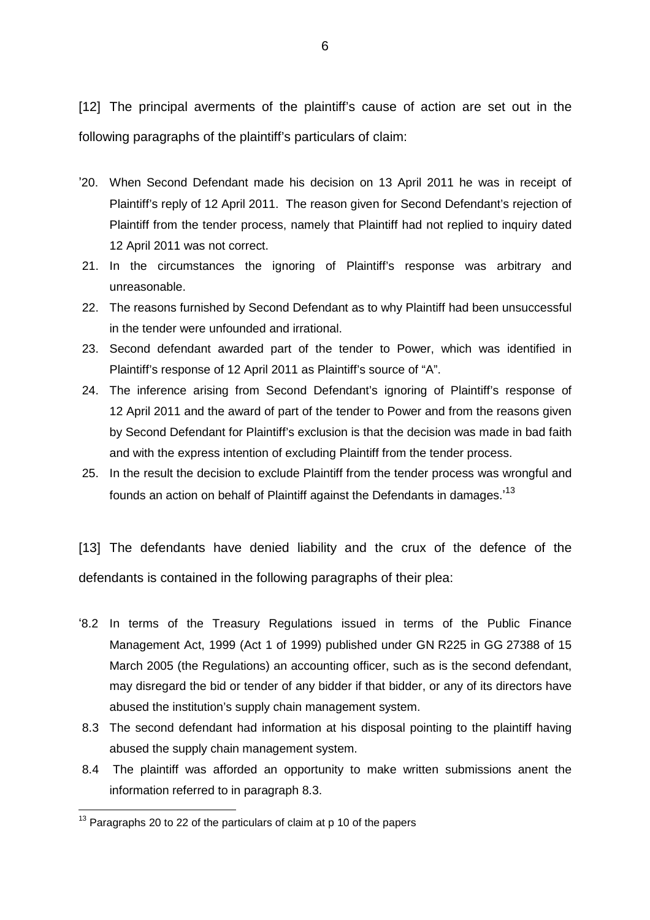[12] The principal averments of the plaintiff's cause of action are set out in the following paragraphs of the plaintiff's particulars of claim:

- '20. When Second Defendant made his decision on 13 April 2011 he was in receipt of Plaintiff's reply of 12 April 2011. The reason given for Second Defendant's rejection of Plaintiff from the tender process, namely that Plaintiff had not replied to inquiry dated 12 April 2011 was not correct.
- 21. In the circumstances the ignoring of Plaintiff's response was arbitrary and unreasonable.
- 22. The reasons furnished by Second Defendant as to why Plaintiff had been unsuccessful in the tender were unfounded and irrational.
- 23. Second defendant awarded part of the tender to Power, which was identified in Plaintiff's response of 12 April 2011 as Plaintiff's source of "A".
- 24. The inference arising from Second Defendant's ignoring of Plaintiff's response of 12 April 2011 and the award of part of the tender to Power and from the reasons given by Second Defendant for Plaintiff's exclusion is that the decision was made in bad faith and with the express intention of excluding Plaintiff from the tender process.
- 25. In the result the decision to exclude Plaintiff from the tender process was wrongful and founds an action on behalf of Plaintiff against the Defendants in damages.'<sup>13</sup>

[13] The defendants have denied liability and the crux of the defence of the defendants is contained in the following paragraphs of their plea:

- '8.2 In terms of the Treasury Regulations issued in terms of the Public Finance Management Act, 1999 (Act 1 of 1999) published under GN R225 in GG 27388 of 15 March 2005 (the Regulations) an accounting officer, such as is the second defendant, may disregard the bid or tender of any bidder if that bidder, or any of its directors have abused the institution's supply chain management system.
- 8.3 The second defendant had information at his disposal pointing to the plaintiff having abused the supply chain management system.
- 8.4 The plaintiff was afforded an opportunity to make written submissions anent the information referred to in paragraph 8.3.

 $\overline{a}$  $13$  Paragraphs 20 to 22 of the particulars of claim at p 10 of the papers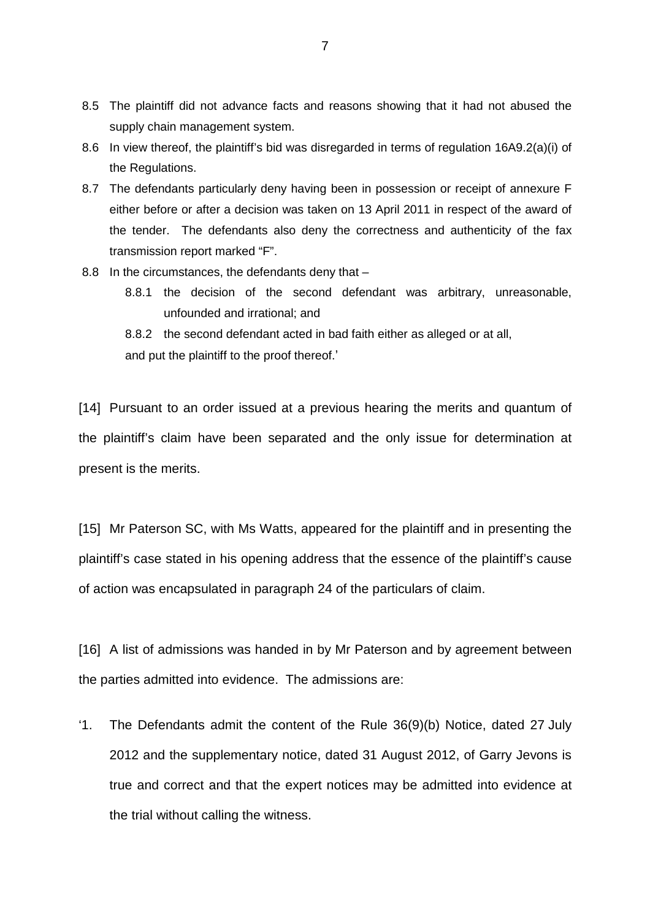- 8.5 The plaintiff did not advance facts and reasons showing that it had not abused the supply chain management system.
- 8.6 In view thereof, the plaintiff's bid was disregarded in terms of regulation 16A9.2(a)(i) of the Regulations.
- 8.7 The defendants particularly deny having been in possession or receipt of annexure F either before or after a decision was taken on 13 April 2011 in respect of the award of the tender. The defendants also deny the correctness and authenticity of the fax transmission report marked "F".
- 8.8 In the circumstances, the defendants deny that
	- 8.8.1 the decision of the second defendant was arbitrary, unreasonable, unfounded and irrational; and
	- 8.8.2 the second defendant acted in bad faith either as alleged or at all, and put the plaintiff to the proof thereof.'

[14] Pursuant to an order issued at a previous hearing the merits and quantum of the plaintiff's claim have been separated and the only issue for determination at present is the merits.

[15] Mr Paterson SC, with Ms Watts, appeared for the plaintiff and in presenting the plaintiff's case stated in his opening address that the essence of the plaintiff's cause of action was encapsulated in paragraph 24 of the particulars of claim.

[16] A list of admissions was handed in by Mr Paterson and by agreement between the parties admitted into evidence. The admissions are:

'1. The Defendants admit the content of the Rule 36(9)(b) Notice, dated 27 July 2012 and the supplementary notice, dated 31 August 2012, of Garry Jevons is true and correct and that the expert notices may be admitted into evidence at the trial without calling the witness.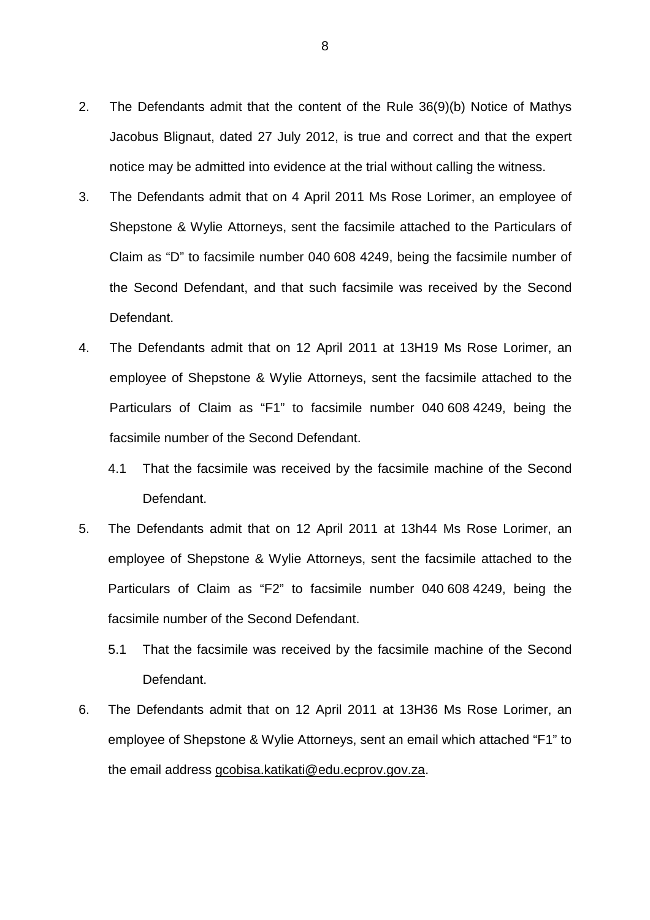- 2. The Defendants admit that the content of the Rule 36(9)(b) Notice of Mathys Jacobus Blignaut, dated 27 July 2012, is true and correct and that the expert notice may be admitted into evidence at the trial without calling the witness.
- 3. The Defendants admit that on 4 April 2011 Ms Rose Lorimer, an employee of Shepstone & Wylie Attorneys, sent the facsimile attached to the Particulars of Claim as "D" to facsimile number 040 608 4249, being the facsimile number of the Second Defendant, and that such facsimile was received by the Second Defendant.
- 4. The Defendants admit that on 12 April 2011 at 13H19 Ms Rose Lorimer, an employee of Shepstone & Wylie Attorneys, sent the facsimile attached to the Particulars of Claim as "F1" to facsimile number 040 608 4249, being the facsimile number of the Second Defendant.
	- 4.1 That the facsimile was received by the facsimile machine of the Second Defendant.
- 5. The Defendants admit that on 12 April 2011 at 13h44 Ms Rose Lorimer, an employee of Shepstone & Wylie Attorneys, sent the facsimile attached to the Particulars of Claim as "F2" to facsimile number 040 608 4249, being the facsimile number of the Second Defendant.
	- 5.1 That the facsimile was received by the facsimile machine of the Second Defendant.
- 6. The Defendants admit that on 12 April 2011 at 13H36 Ms Rose Lorimer, an employee of Shepstone & Wylie Attorneys, sent an email which attached "F1" to the email address gcobisa.katikati@edu.ecprov.gov.za.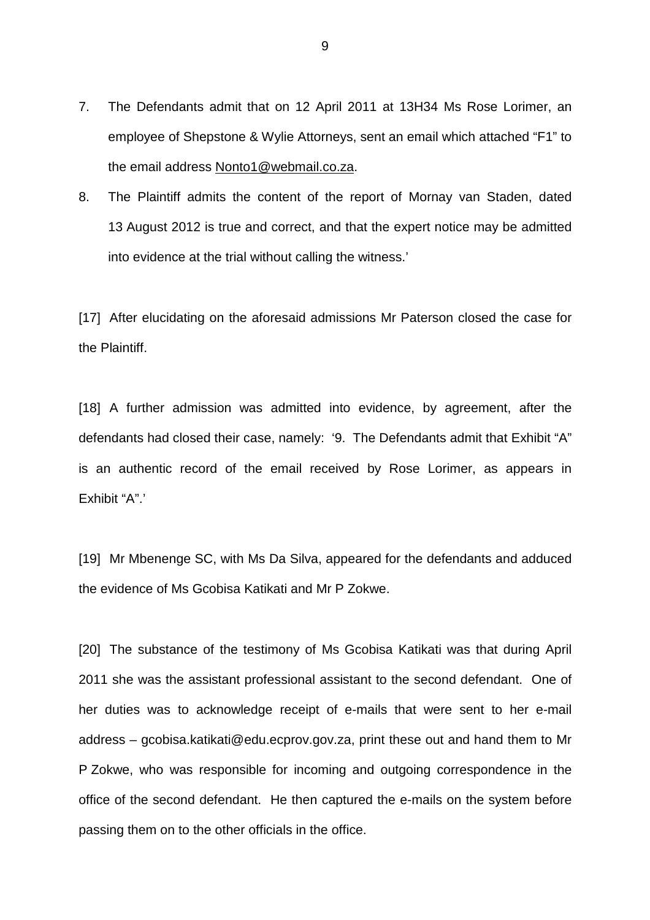- 7. The Defendants admit that on 12 April 2011 at 13H34 Ms Rose Lorimer, an employee of Shepstone & Wylie Attorneys, sent an email which attached "F1" to the email address Nonto1@webmail.co.za.
- 8. The Plaintiff admits the content of the report of Mornay van Staden, dated 13 August 2012 is true and correct, and that the expert notice may be admitted into evidence at the trial without calling the witness.'

[17] After elucidating on the aforesaid admissions Mr Paterson closed the case for the Plaintiff.

[18] A further admission was admitted into evidence, by agreement, after the defendants had closed their case, namely: '9. The Defendants admit that Exhibit "A" is an authentic record of the email received by Rose Lorimer, as appears in Exhibit "A".'

[19] Mr Mbenenge SC, with Ms Da Silva, appeared for the defendants and adduced the evidence of Ms Gcobisa Katikati and Mr P Zokwe.

[20] The substance of the testimony of Ms Gcobisa Katikati was that during April 2011 she was the assistant professional assistant to the second defendant. One of her duties was to acknowledge receipt of e-mails that were sent to her e-mail address – gcobisa.katikati@edu.ecprov.gov.za, print these out and hand them to Mr P Zokwe, who was responsible for incoming and outgoing correspondence in the office of the second defendant. He then captured the e-mails on the system before passing them on to the other officials in the office.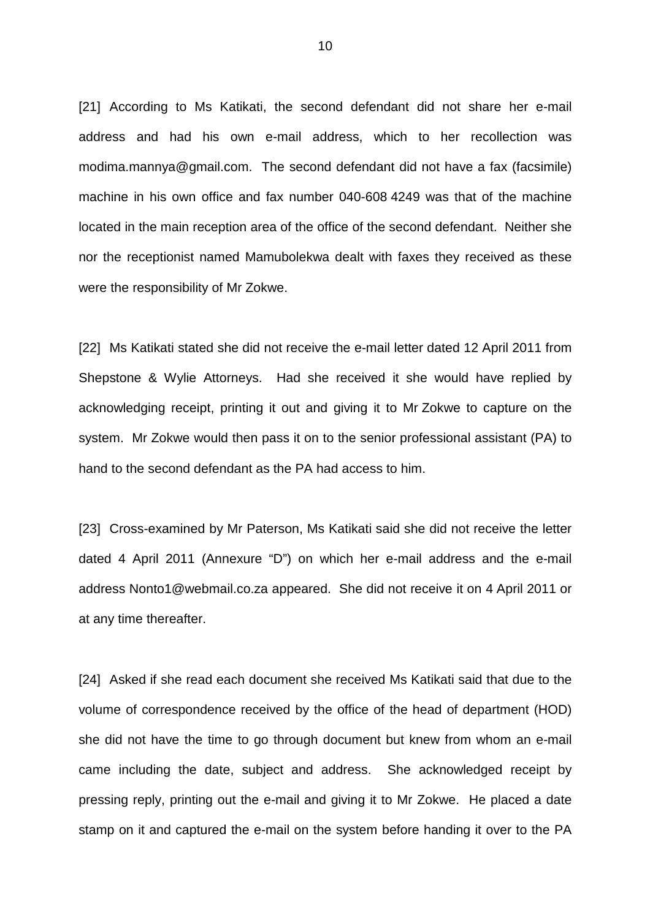[21] According to Ms Katikati, the second defendant did not share her e-mail address and had his own e-mail address, which to her recollection was modima.mannya@gmail.com. The second defendant did not have a fax (facsimile) machine in his own office and fax number 040-608 4249 was that of the machine located in the main reception area of the office of the second defendant. Neither she nor the receptionist named Mamubolekwa dealt with faxes they received as these were the responsibility of Mr Zokwe.

[22] Ms Katikati stated she did not receive the e-mail letter dated 12 April 2011 from Shepstone & Wylie Attorneys. Had she received it she would have replied by acknowledging receipt, printing it out and giving it to Mr Zokwe to capture on the system. Mr Zokwe would then pass it on to the senior professional assistant (PA) to hand to the second defendant as the PA had access to him.

[23] Cross-examined by Mr Paterson, Ms Katikati said she did not receive the letter dated 4 April 2011 (Annexure "D") on which her e-mail address and the e-mail address Nonto1@webmail.co.za appeared. She did not receive it on 4 April 2011 or at any time thereafter.

[24] Asked if she read each document she received Ms Katikati said that due to the volume of correspondence received by the office of the head of department (HOD) she did not have the time to go through document but knew from whom an e-mail came including the date, subject and address. She acknowledged receipt by pressing reply, printing out the e-mail and giving it to Mr Zokwe. He placed a date stamp on it and captured the e-mail on the system before handing it over to the PA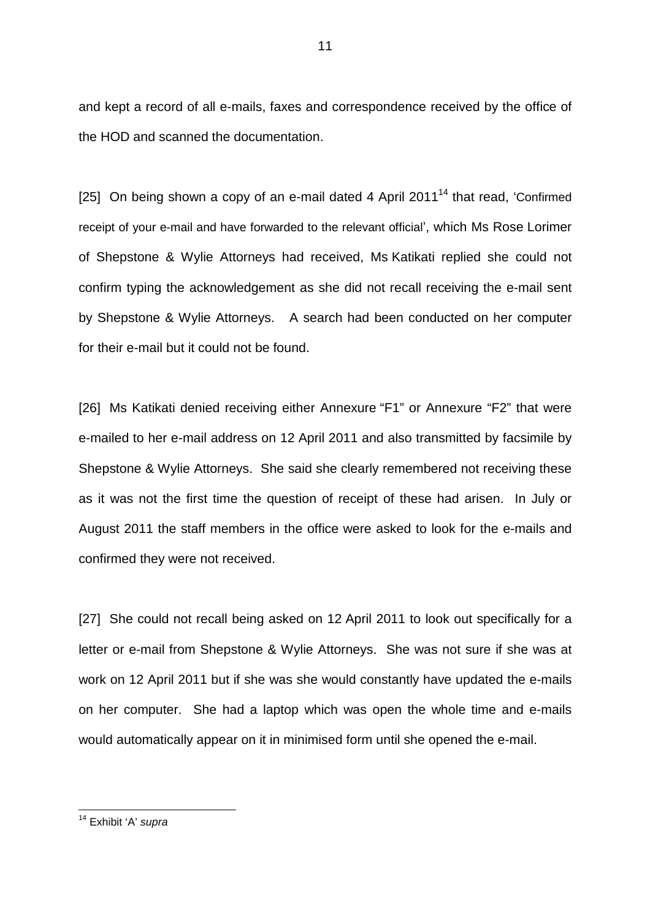and kept a record of all e-mails, faxes and correspondence received by the office of the HOD and scanned the documentation.

[25] On being shown a copy of an e-mail dated 4 April 2011<sup>14</sup> that read, 'Confirmed receipt of your e-mail and have forwarded to the relevant official', which Ms Rose Lorimer of Shepstone & Wylie Attorneys had received, Ms Katikati replied she could not confirm typing the acknowledgement as she did not recall receiving the e-mail sent by Shepstone & Wylie Attorneys. A search had been conducted on her computer for their e-mail but it could not be found.

[26] Ms Katikati denied receiving either Annexure "F1" or Annexure "F2" that were e-mailed to her e-mail address on 12 April 2011 and also transmitted by facsimile by Shepstone & Wylie Attorneys. She said she clearly remembered not receiving these as it was not the first time the question of receipt of these had arisen. In July or August 2011 the staff members in the office were asked to look for the e-mails and confirmed they were not received.

[27] She could not recall being asked on 12 April 2011 to look out specifically for a letter or e-mail from Shepstone & Wylie Attorneys. She was not sure if she was at work on 12 April 2011 but if she was she would constantly have updated the e-mails on her computer. She had a laptop which was open the whole time and e-mails would automatically appear on it in minimised form until she opened the e-mail.

<sup>&</sup>lt;sup>14</sup> Exhibit 'A' supra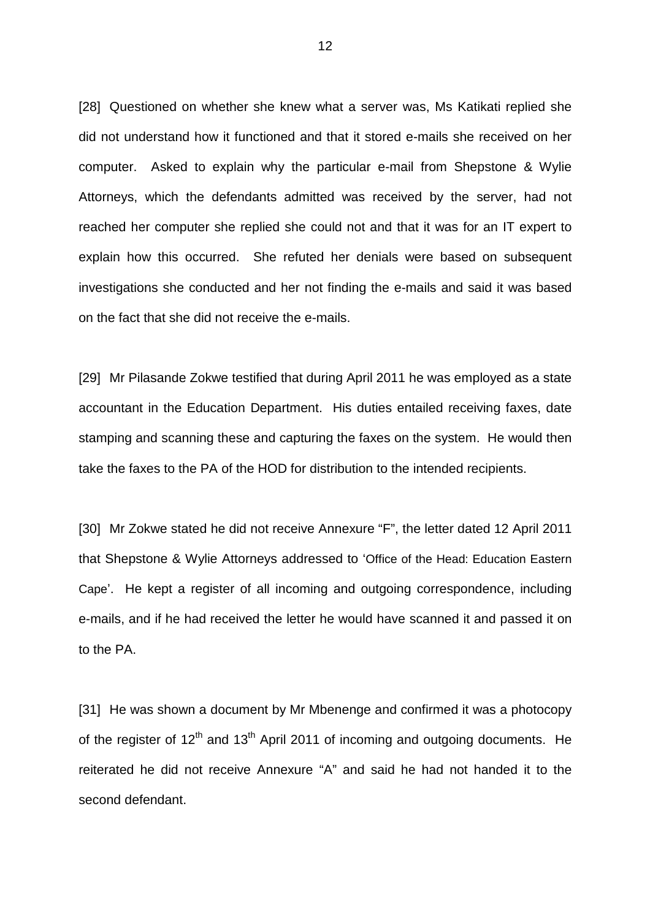[28] Questioned on whether she knew what a server was, Ms Katikati replied she did not understand how it functioned and that it stored e-mails she received on her computer. Asked to explain why the particular e-mail from Shepstone & Wylie Attorneys, which the defendants admitted was received by the server, had not reached her computer she replied she could not and that it was for an IT expert to explain how this occurred. She refuted her denials were based on subsequent investigations she conducted and her not finding the e-mails and said it was based on the fact that she did not receive the e-mails.

[29] Mr Pilasande Zokwe testified that during April 2011 he was employed as a state accountant in the Education Department. His duties entailed receiving faxes, date stamping and scanning these and capturing the faxes on the system. He would then take the faxes to the PA of the HOD for distribution to the intended recipients.

[30] Mr Zokwe stated he did not receive Annexure "F", the letter dated 12 April 2011 that Shepstone & Wylie Attorneys addressed to 'Office of the Head: Education Eastern Cape'. He kept a register of all incoming and outgoing correspondence, including e-mails, and if he had received the letter he would have scanned it and passed it on to the PA.

[31] He was shown a document by Mr Mbenenge and confirmed it was a photocopy of the register of  $12<sup>th</sup>$  and  $13<sup>th</sup>$  April 2011 of incoming and outgoing documents. He reiterated he did not receive Annexure "A" and said he had not handed it to the second defendant.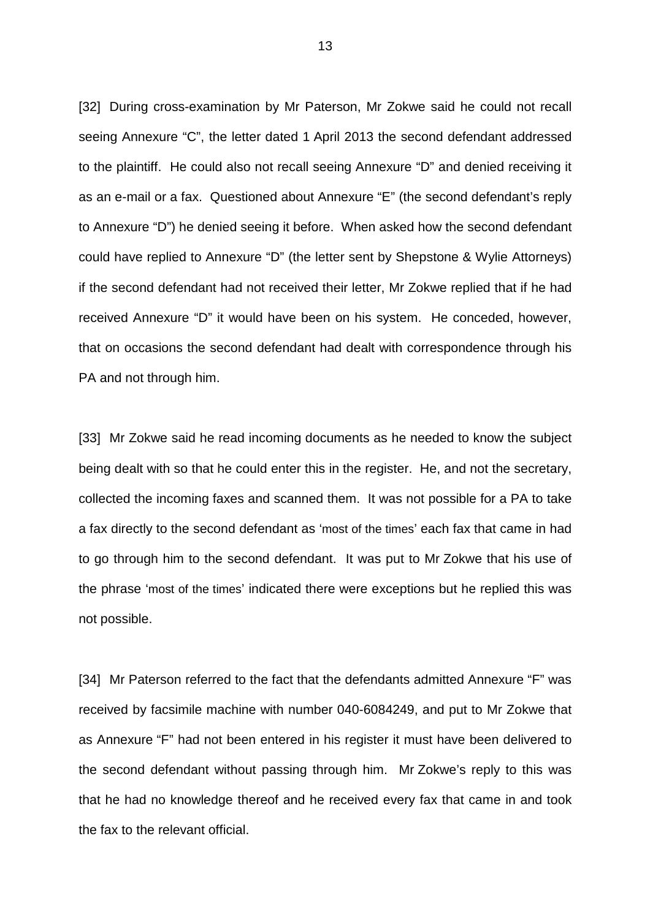[32] During cross-examination by Mr Paterson, Mr Zokwe said he could not recall seeing Annexure "C", the letter dated 1 April 2013 the second defendant addressed to the plaintiff. He could also not recall seeing Annexure "D" and denied receiving it as an e-mail or a fax. Questioned about Annexure "E" (the second defendant's reply to Annexure "D") he denied seeing it before. When asked how the second defendant could have replied to Annexure "D" (the letter sent by Shepstone & Wylie Attorneys) if the second defendant had not received their letter, Mr Zokwe replied that if he had received Annexure "D" it would have been on his system. He conceded, however, that on occasions the second defendant had dealt with correspondence through his PA and not through him.

[33] Mr Zokwe said he read incoming documents as he needed to know the subject being dealt with so that he could enter this in the register. He, and not the secretary, collected the incoming faxes and scanned them. It was not possible for a PA to take a fax directly to the second defendant as 'most of the times' each fax that came in had to go through him to the second defendant. It was put to Mr Zokwe that his use of the phrase 'most of the times' indicated there were exceptions but he replied this was not possible.

[34] Mr Paterson referred to the fact that the defendants admitted Annexure "F" was received by facsimile machine with number 040-6084249, and put to Mr Zokwe that as Annexure "F" had not been entered in his register it must have been delivered to the second defendant without passing through him. Mr Zokwe's reply to this was that he had no knowledge thereof and he received every fax that came in and took the fax to the relevant official.

13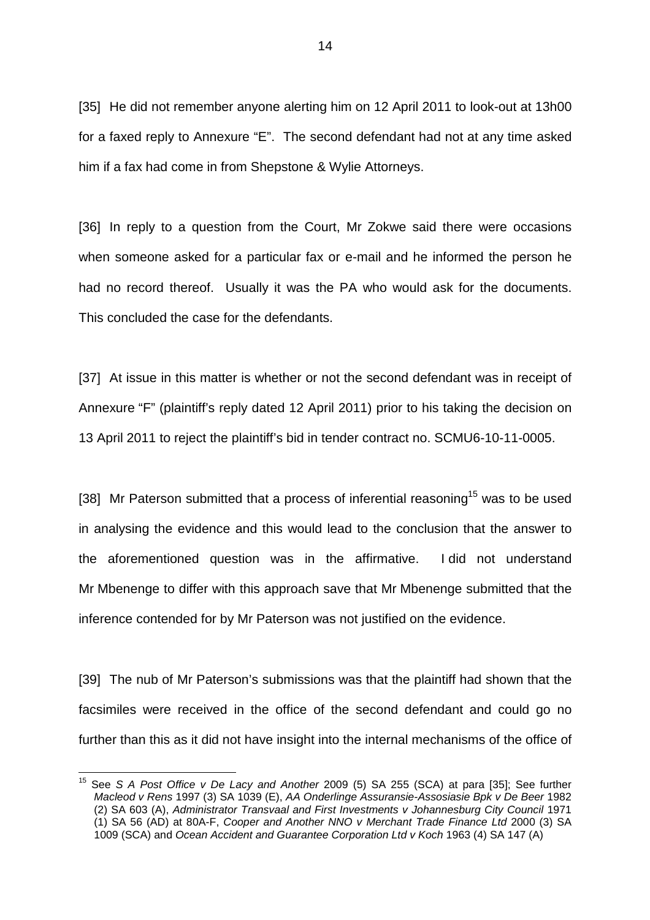[35] He did not remember anyone alerting him on 12 April 2011 to look-out at 13h00 for a faxed reply to Annexure "E". The second defendant had not at any time asked him if a fax had come in from Shepstone & Wylie Attorneys.

[36] In reply to a question from the Court, Mr Zokwe said there were occasions when someone asked for a particular fax or e-mail and he informed the person he had no record thereof. Usually it was the PA who would ask for the documents. This concluded the case for the defendants.

[37] At issue in this matter is whether or not the second defendant was in receipt of Annexure "F" (plaintiff's reply dated 12 April 2011) prior to his taking the decision on 13 April 2011 to reject the plaintiff's bid in tender contract no. SCMU6-10-11-0005.

[38] Mr Paterson submitted that a process of inferential reasoning<sup>15</sup> was to be used in analysing the evidence and this would lead to the conclusion that the answer to the aforementioned question was in the affirmative. I did not understand Mr Mbenenge to differ with this approach save that Mr Mbenenge submitted that the inference contended for by Mr Paterson was not justified on the evidence.

[39] The nub of Mr Paterson's submissions was that the plaintiff had shown that the facsimiles were received in the office of the second defendant and could go no further than this as it did not have insight into the internal mechanisms of the office of

 $\overline{\phantom{a}}$ 

<sup>&</sup>lt;sup>15</sup> See S A Post Office v De Lacy and Another 2009 (5) SA 255 (SCA) at para [35]; See further Macleod v Rens 1997 (3) SA 1039 (E), AA Onderlinge Assuransie-Assosiasie Bpk v De Beer 1982 (2) SA 603 (A), Administrator Transvaal and First Investments v Johannesburg City Council 1971 (1) SA 56 (AD) at 80A-F, Cooper and Another NNO v Merchant Trade Finance Ltd 2000 (3) SA 1009 (SCA) and Ocean Accident and Guarantee Corporation Ltd v Koch 1963 (4) SA 147 (A)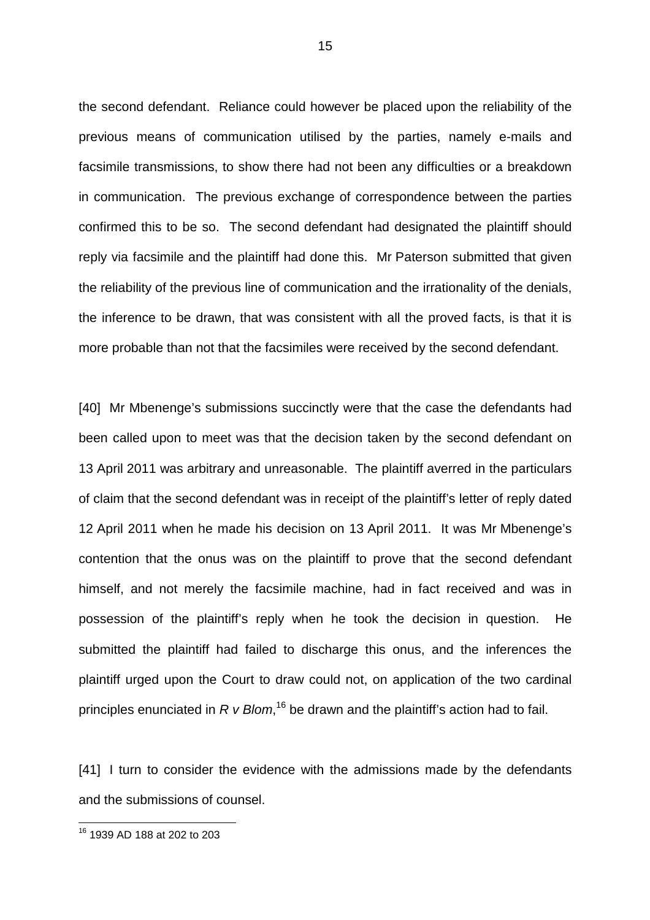the second defendant. Reliance could however be placed upon the reliability of the previous means of communication utilised by the parties, namely e-mails and facsimile transmissions, to show there had not been any difficulties or a breakdown in communication. The previous exchange of correspondence between the parties confirmed this to be so. The second defendant had designated the plaintiff should reply via facsimile and the plaintiff had done this. Mr Paterson submitted that given the reliability of the previous line of communication and the irrationality of the denials, the inference to be drawn, that was consistent with all the proved facts, is that it is more probable than not that the facsimiles were received by the second defendant.

[40] Mr Mbenenge's submissions succinctly were that the case the defendants had been called upon to meet was that the decision taken by the second defendant on 13 April 2011 was arbitrary and unreasonable. The plaintiff averred in the particulars of claim that the second defendant was in receipt of the plaintiff's letter of reply dated 12 April 2011 when he made his decision on 13 April 2011. It was Mr Mbenenge's contention that the onus was on the plaintiff to prove that the second defendant himself, and not merely the facsimile machine, had in fact received and was in possession of the plaintiff's reply when he took the decision in question. He submitted the plaintiff had failed to discharge this onus, and the inferences the plaintiff urged upon the Court to draw could not, on application of the two cardinal principles enunciated in R v Blom,<sup>16</sup> be drawn and the plaintiff's action had to fail.

[41] I turn to consider the evidence with the admissions made by the defendants and the submissions of counsel.

<sup>16</sup> 1939 AD 188 at 202 to 203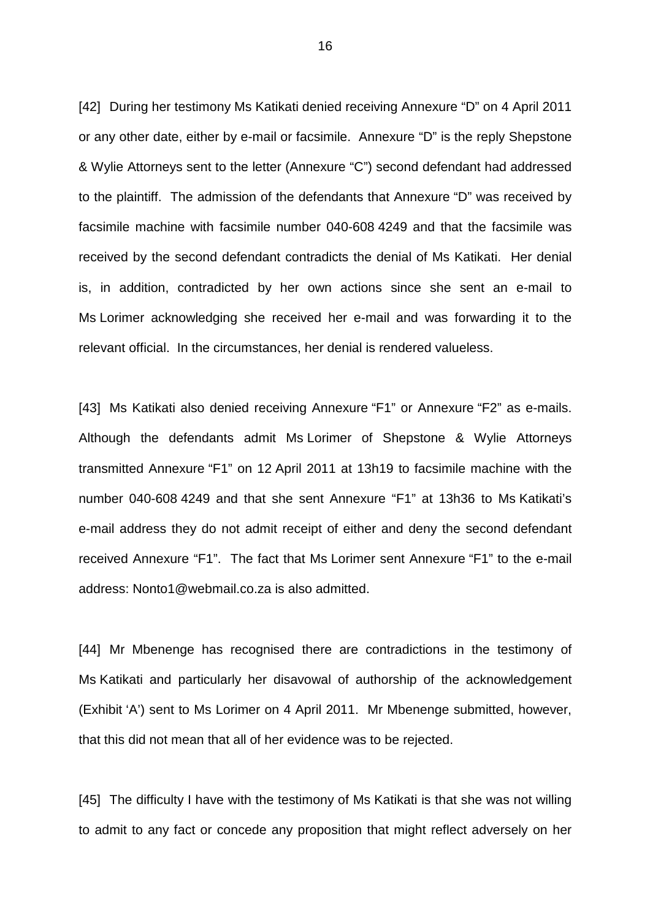[42] During her testimony Ms Katikati denied receiving Annexure "D" on 4 April 2011 or any other date, either by e-mail or facsimile. Annexure "D" is the reply Shepstone & Wylie Attorneys sent to the letter (Annexure "C") second defendant had addressed to the plaintiff. The admission of the defendants that Annexure "D" was received by facsimile machine with facsimile number 040-608 4249 and that the facsimile was received by the second defendant contradicts the denial of Ms Katikati. Her denial is, in addition, contradicted by her own actions since she sent an e-mail to Ms Lorimer acknowledging she received her e-mail and was forwarding it to the relevant official. In the circumstances, her denial is rendered valueless.

[43] Ms Katikati also denied receiving Annexure "F1" or Annexure "F2" as e-mails. Although the defendants admit Ms Lorimer of Shepstone & Wylie Attorneys transmitted Annexure "F1" on 12 April 2011 at 13h19 to facsimile machine with the number 040-608 4249 and that she sent Annexure "F1" at 13h36 to Ms Katikati's e-mail address they do not admit receipt of either and deny the second defendant received Annexure "F1". The fact that Ms Lorimer sent Annexure "F1" to the e-mail address: Nonto1@webmail.co.za is also admitted.

[44] Mr Mbenenge has recognised there are contradictions in the testimony of Ms Katikati and particularly her disavowal of authorship of the acknowledgement (Exhibit 'A') sent to Ms Lorimer on 4 April 2011. Mr Mbenenge submitted, however, that this did not mean that all of her evidence was to be rejected.

[45] The difficulty I have with the testimony of Ms Katikati is that she was not willing to admit to any fact or concede any proposition that might reflect adversely on her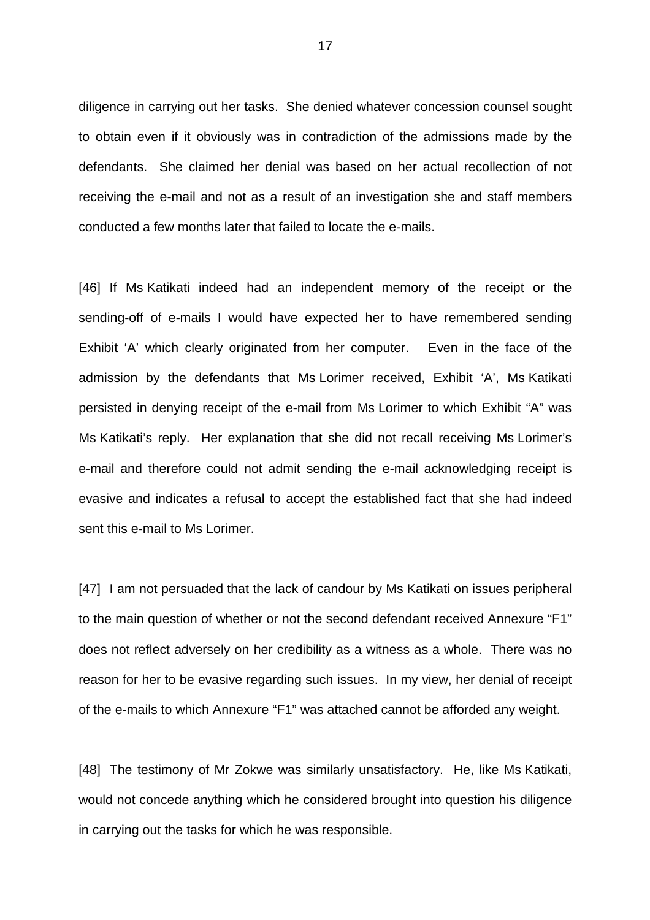diligence in carrying out her tasks. She denied whatever concession counsel sought to obtain even if it obviously was in contradiction of the admissions made by the defendants. She claimed her denial was based on her actual recollection of not receiving the e-mail and not as a result of an investigation she and staff members conducted a few months later that failed to locate the e-mails.

[46] If Ms Katikati indeed had an independent memory of the receipt or the sending-off of e-mails I would have expected her to have remembered sending Exhibit 'A' which clearly originated from her computer. Even in the face of the admission by the defendants that Ms Lorimer received, Exhibit 'A', Ms Katikati persisted in denying receipt of the e-mail from Ms Lorimer to which Exhibit "A" was Ms Katikati's reply. Her explanation that she did not recall receiving Ms Lorimer's e-mail and therefore could not admit sending the e-mail acknowledging receipt is evasive and indicates a refusal to accept the established fact that she had indeed sent this e-mail to Ms Lorimer.

[47] I am not persuaded that the lack of candour by Ms Katikati on issues peripheral to the main question of whether or not the second defendant received Annexure "F1" does not reflect adversely on her credibility as a witness as a whole. There was no reason for her to be evasive regarding such issues. In my view, her denial of receipt of the e-mails to which Annexure "F1" was attached cannot be afforded any weight.

[48] The testimony of Mr Zokwe was similarly unsatisfactory. He, like Ms Katikati, would not concede anything which he considered brought into question his diligence in carrying out the tasks for which he was responsible.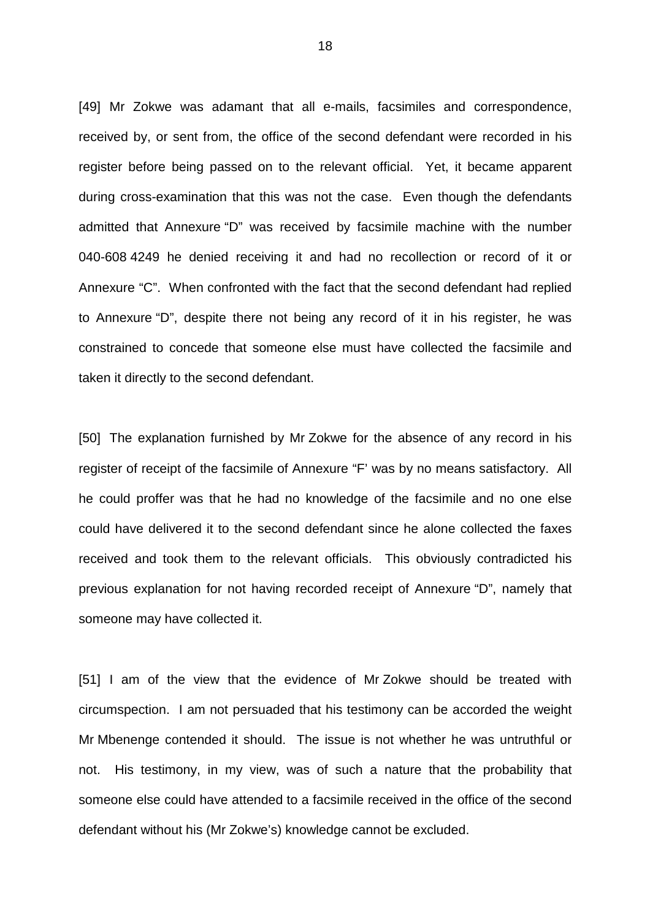[49] Mr Zokwe was adamant that all e-mails, facsimiles and correspondence, received by, or sent from, the office of the second defendant were recorded in his register before being passed on to the relevant official. Yet, it became apparent during cross-examination that this was not the case. Even though the defendants admitted that Annexure "D" was received by facsimile machine with the number 040-608 4249 he denied receiving it and had no recollection or record of it or Annexure "C". When confronted with the fact that the second defendant had replied to Annexure "D", despite there not being any record of it in his register, he was constrained to concede that someone else must have collected the facsimile and taken it directly to the second defendant.

[50] The explanation furnished by Mr Zokwe for the absence of any record in his register of receipt of the facsimile of Annexure "F' was by no means satisfactory. All he could proffer was that he had no knowledge of the facsimile and no one else could have delivered it to the second defendant since he alone collected the faxes received and took them to the relevant officials. This obviously contradicted his previous explanation for not having recorded receipt of Annexure "D", namely that someone may have collected it.

[51] I am of the view that the evidence of Mr Zokwe should be treated with circumspection. I am not persuaded that his testimony can be accorded the weight Mr Mbenenge contended it should. The issue is not whether he was untruthful or not. His testimony, in my view, was of such a nature that the probability that someone else could have attended to a facsimile received in the office of the second defendant without his (Mr Zokwe's) knowledge cannot be excluded.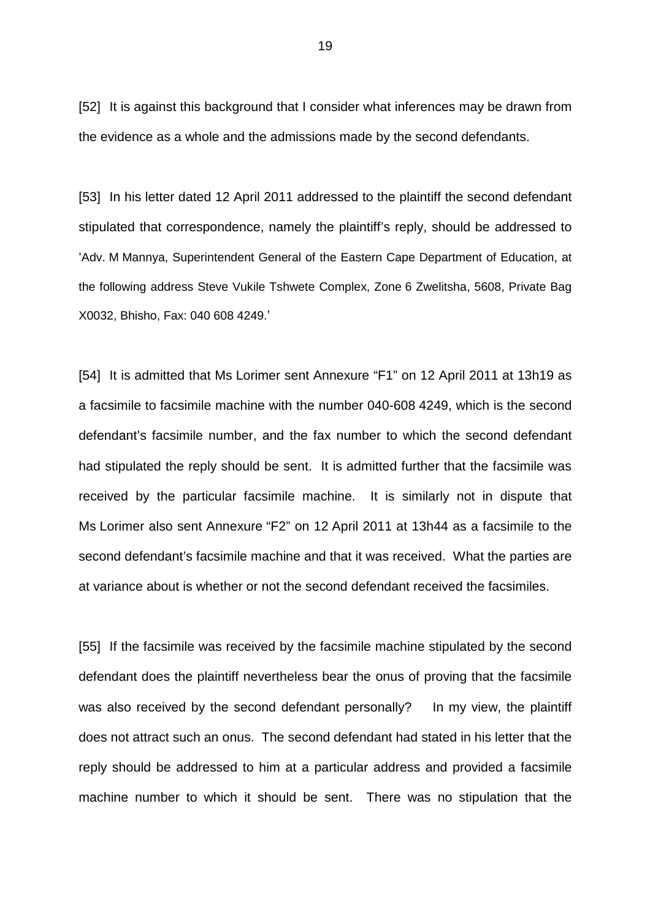[52] It is against this background that I consider what inferences may be drawn from the evidence as a whole and the admissions made by the second defendants.

[53] In his letter dated 12 April 2011 addressed to the plaintiff the second defendant stipulated that correspondence, namely the plaintiff's reply, should be addressed to 'Adv. M Mannya, Superintendent General of the Eastern Cape Department of Education, at the following address Steve Vukile Tshwete Complex, Zone 6 Zwelitsha, 5608, Private Bag X0032, Bhisho, Fax: 040 608 4249.'

[54] It is admitted that Ms Lorimer sent Annexure "F1" on 12 April 2011 at 13h19 as a facsimile to facsimile machine with the number 040-608 4249, which is the second defendant's facsimile number, and the fax number to which the second defendant had stipulated the reply should be sent. It is admitted further that the facsimile was received by the particular facsimile machine. It is similarly not in dispute that Ms Lorimer also sent Annexure "F2" on 12 April 2011 at 13h44 as a facsimile to the second defendant's facsimile machine and that it was received. What the parties are at variance about is whether or not the second defendant received the facsimiles.

[55] If the facsimile was received by the facsimile machine stipulated by the second defendant does the plaintiff nevertheless bear the onus of proving that the facsimile was also received by the second defendant personally? In my view, the plaintiff does not attract such an onus. The second defendant had stated in his letter that the reply should be addressed to him at a particular address and provided a facsimile machine number to which it should be sent. There was no stipulation that the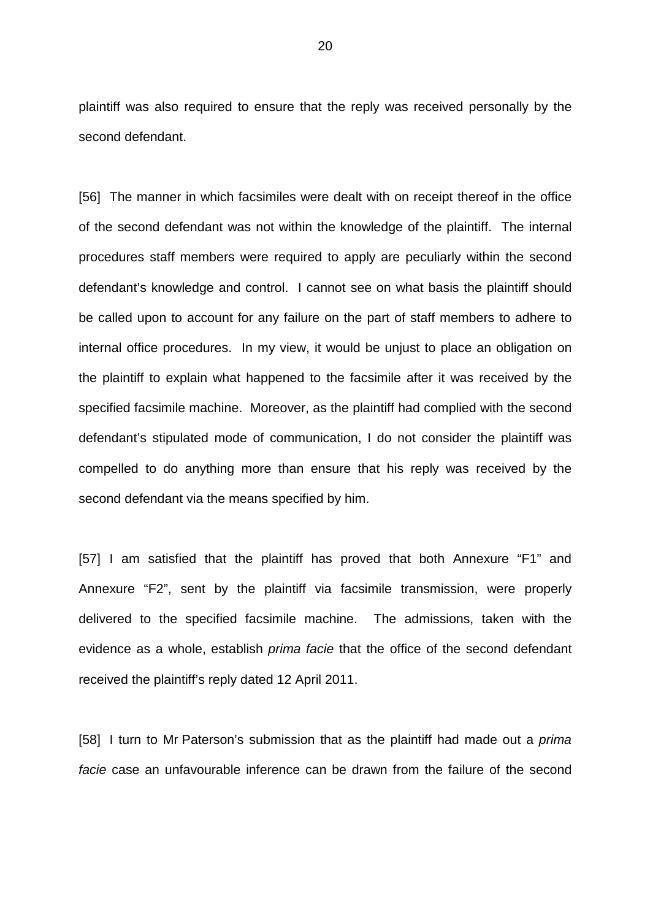plaintiff was also required to ensure that the reply was received personally by the second defendant.

[56] The manner in which facsimiles were dealt with on receipt thereof in the office of the second defendant was not within the knowledge of the plaintiff. The internal procedures staff members were required to apply are peculiarly within the second defendant's knowledge and control. I cannot see on what basis the plaintiff should be called upon to account for any failure on the part of staff members to adhere to internal office procedures. In my view, it would be unjust to place an obligation on the plaintiff to explain what happened to the facsimile after it was received by the specified facsimile machine. Moreover, as the plaintiff had complied with the second defendant's stipulated mode of communication, I do not consider the plaintiff was compelled to do anything more than ensure that his reply was received by the second defendant via the means specified by him.

[57] I am satisfied that the plaintiff has proved that both Annexure "F1" and Annexure "F2", sent by the plaintiff via facsimile transmission, were properly delivered to the specified facsimile machine. The admissions, taken with the evidence as a whole, establish prima facie that the office of the second defendant received the plaintiff's reply dated 12 April 2011.

[58] I turn to Mr Paterson's submission that as the plaintiff had made out a *prima* facie case an unfavourable inference can be drawn from the failure of the second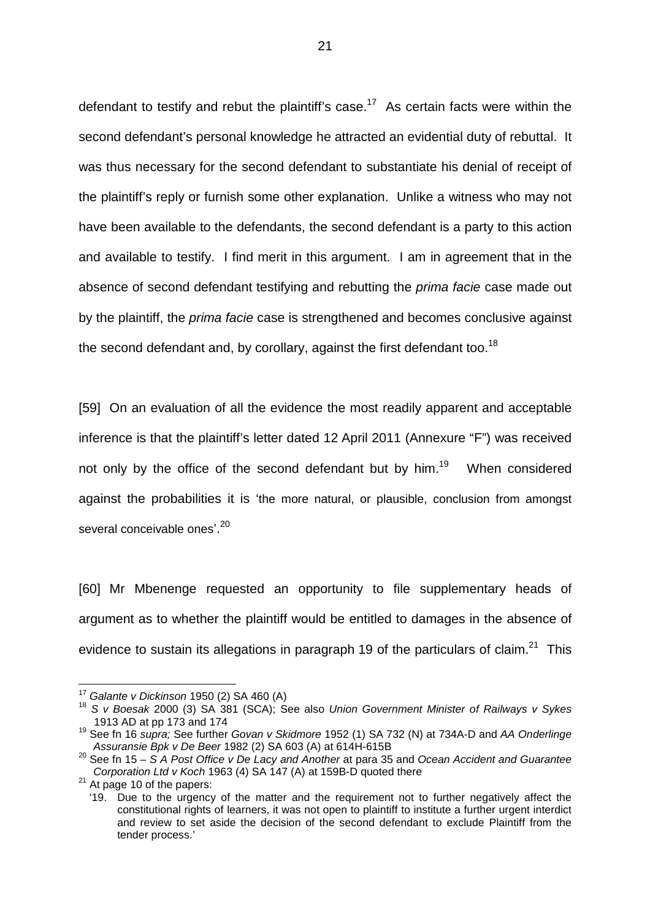defendant to testify and rebut the plaintiff's case.<sup>17</sup> As certain facts were within the second defendant's personal knowledge he attracted an evidential duty of rebuttal. It was thus necessary for the second defendant to substantiate his denial of receipt of the plaintiff's reply or furnish some other explanation. Unlike a witness who may not have been available to the defendants, the second defendant is a party to this action and available to testify. I find merit in this argument. I am in agreement that in the absence of second defendant testifying and rebutting the prima facie case made out by the plaintiff, the prima facie case is strengthened and becomes conclusive against the second defendant and, by corollary, against the first defendant too.<sup>18</sup>

[59] On an evaluation of all the evidence the most readily apparent and acceptable inference is that the plaintiff's letter dated 12 April 2011 (Annexure "F") was received not only by the office of the second defendant but by him.<sup>19</sup> When considered against the probabilities it is 'the more natural, or plausible, conclusion from amongst several conceivable ones'.<sup>20</sup>

[60] Mr Mbenenge requested an opportunity to file supplementary heads of argument as to whether the plaintiff would be entitled to damages in the absence of evidence to sustain its allegations in paragraph 19 of the particulars of claim.<sup>21</sup> This

 $17$  Galante v Dickinson 1950 (2) SA 460 (A)

<sup>&</sup>lt;sup>18</sup> S v Boesak 2000 (3) SA 381 (SCA); See also Union Government Minister of Railways v Sykes 1913 AD at pp 173 and 174

<sup>&</sup>lt;sup>19</sup> See fn 16 supra; See further Govan v Skidmore 1952 (1) SA 732 (N) at 734A-D and AA Onderlinge Assuransie Bpk v De Beer 1982 (2) SA 603 (A) at 614H-615B

<sup>&</sup>lt;sup>20</sup> See fn 15 – S A Post Office v De Lacy and Another at para 35 and Ocean Accident and Guarantee Corporation Ltd v Koch 1963 (4) SA 147 (A) at 159B-D quoted there

 $21$  At page 10 of the papers:

 <sup>&#</sup>x27;19. Due to the urgency of the matter and the requirement not to further negatively affect the constitutional rights of learners, it was not open to plaintiff to institute a further urgent interdict and review to set aside the decision of the second defendant to exclude Plaintiff from the tender process.'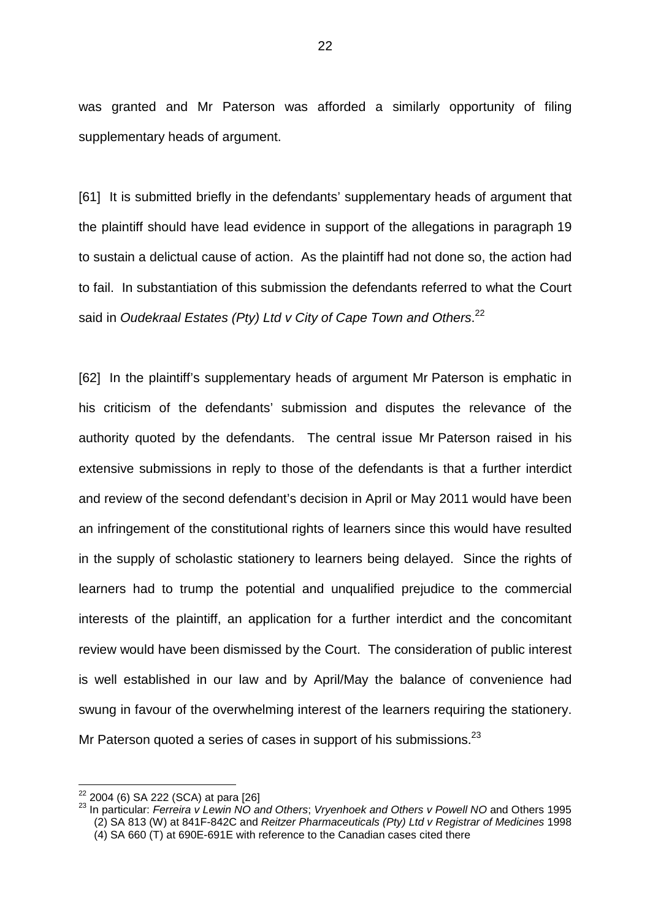was granted and Mr Paterson was afforded a similarly opportunity of filing supplementary heads of argument.

[61] It is submitted briefly in the defendants' supplementary heads of argument that the plaintiff should have lead evidence in support of the allegations in paragraph 19 to sustain a delictual cause of action. As the plaintiff had not done so, the action had to fail. In substantiation of this submission the defendants referred to what the Court said in Oudekraal Estates (Pty) Ltd v City of Cape Town and Others.<sup>22</sup>

[62] In the plaintiff's supplementary heads of argument Mr Paterson is emphatic in his criticism of the defendants' submission and disputes the relevance of the authority quoted by the defendants. The central issue Mr Paterson raised in his extensive submissions in reply to those of the defendants is that a further interdict and review of the second defendant's decision in April or May 2011 would have been an infringement of the constitutional rights of learners since this would have resulted in the supply of scholastic stationery to learners being delayed. Since the rights of learners had to trump the potential and unqualified prejudice to the commercial interests of the plaintiff, an application for a further interdict and the concomitant review would have been dismissed by the Court. The consideration of public interest is well established in our law and by April/May the balance of convenience had swung in favour of the overwhelming interest of the learners requiring the stationery. Mr Paterson quoted a series of cases in support of his submissions. $^{23}$ 

 $^{22}$  2004 (6) SA 222 (SCA) at para [26]

<sup>&</sup>lt;sup>23</sup> In particular: Ferreira v Lewin NO and Others; Vryenhoek and Others v Powell NO and Others 1995 (2) SA 813 (W) at 841F-842C and Reitzer Pharmaceuticals (Pty) Ltd v Registrar of Medicines 1998 (4) SA 660 (T) at 690E-691E with reference to the Canadian cases cited there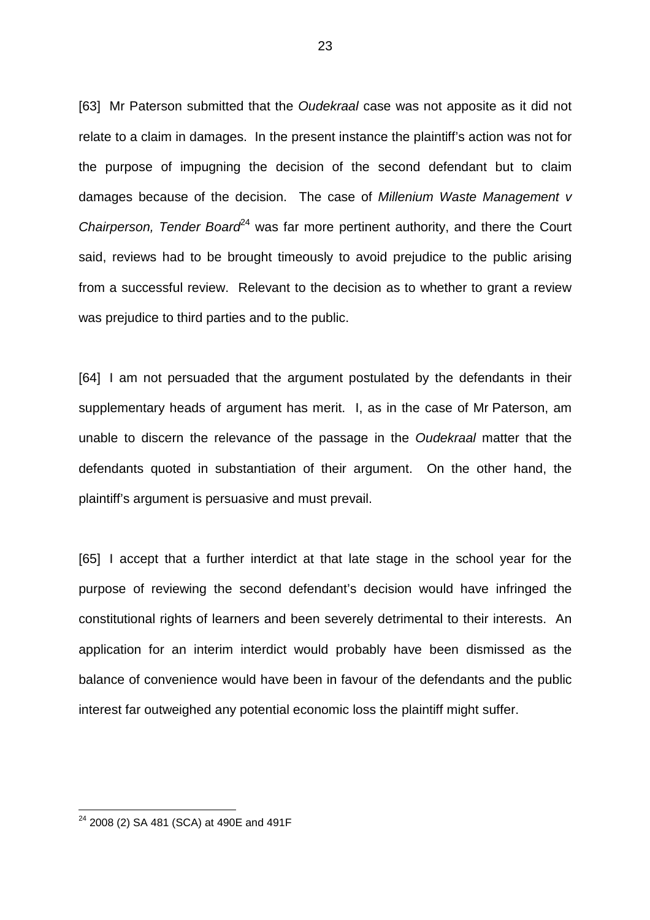[63] Mr Paterson submitted that the *Oudekraal* case was not apposite as it did not relate to a claim in damages. In the present instance the plaintiff's action was not for the purpose of impugning the decision of the second defendant but to claim damages because of the decision. The case of Millenium Waste Management v Chairperson, Tender Board<sup>24</sup> was far more pertinent authority, and there the Court said, reviews had to be brought timeously to avoid prejudice to the public arising from a successful review. Relevant to the decision as to whether to grant a review was prejudice to third parties and to the public.

[64] I am not persuaded that the argument postulated by the defendants in their supplementary heads of argument has merit. I, as in the case of Mr Paterson, am unable to discern the relevance of the passage in the Oudekraal matter that the defendants quoted in substantiation of their argument. On the other hand, the plaintiff's argument is persuasive and must prevail.

[65] I accept that a further interdict at that late stage in the school year for the purpose of reviewing the second defendant's decision would have infringed the constitutional rights of learners and been severely detrimental to their interests. An application for an interim interdict would probably have been dismissed as the balance of convenience would have been in favour of the defendants and the public interest far outweighed any potential economic loss the plaintiff might suffer.

<sup>23</sup> 

<sup>&</sup>lt;sup>24</sup> 2008 (2) SA 481 (SCA) at 490E and 491F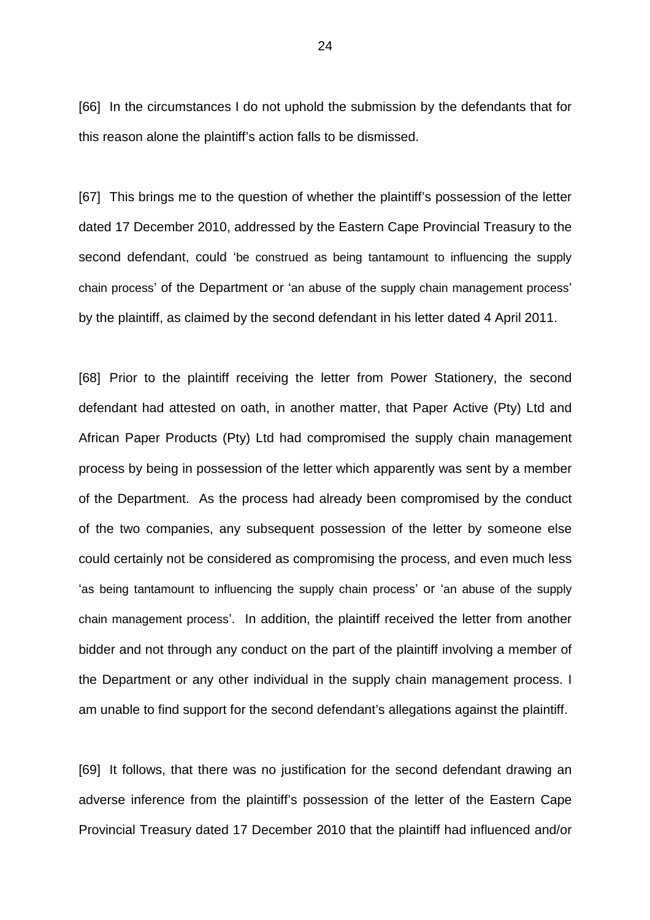[66] In the circumstances I do not uphold the submission by the defendants that for this reason alone the plaintiff's action falls to be dismissed.

[67] This brings me to the question of whether the plaintiff's possession of the letter dated 17 December 2010, addressed by the Eastern Cape Provincial Treasury to the second defendant, could 'be construed as being tantamount to influencing the supply chain process' of the Department or 'an abuse of the supply chain management process' by the plaintiff, as claimed by the second defendant in his letter dated 4 April 2011.

[68] Prior to the plaintiff receiving the letter from Power Stationery, the second defendant had attested on oath, in another matter, that Paper Active (Pty) Ltd and African Paper Products (Pty) Ltd had compromised the supply chain management process by being in possession of the letter which apparently was sent by a member of the Department. As the process had already been compromised by the conduct of the two companies, any subsequent possession of the letter by someone else could certainly not be considered as compromising the process, and even much less 'as being tantamount to influencing the supply chain process' or 'an abuse of the supply chain management process'. In addition, the plaintiff received the letter from another bidder and not through any conduct on the part of the plaintiff involving a member of the Department or any other individual in the supply chain management process. I am unable to find support for the second defendant's allegations against the plaintiff.

[69] It follows, that there was no justification for the second defendant drawing an adverse inference from the plaintiff's possession of the letter of the Eastern Cape Provincial Treasury dated 17 December 2010 that the plaintiff had influenced and/or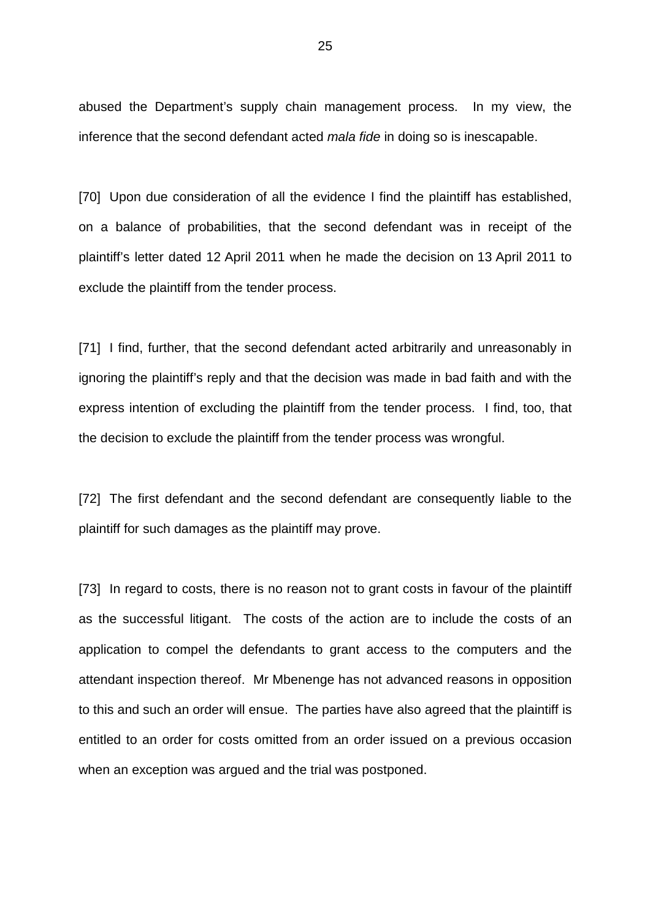abused the Department's supply chain management process. In my view, the inference that the second defendant acted mala fide in doing so is inescapable.

[70] Upon due consideration of all the evidence I find the plaintiff has established, on a balance of probabilities, that the second defendant was in receipt of the plaintiff's letter dated 12 April 2011 when he made the decision on 13 April 2011 to exclude the plaintiff from the tender process.

[71] I find, further, that the second defendant acted arbitrarily and unreasonably in ignoring the plaintiff's reply and that the decision was made in bad faith and with the express intention of excluding the plaintiff from the tender process. I find, too, that the decision to exclude the plaintiff from the tender process was wrongful.

[72] The first defendant and the second defendant are consequently liable to the plaintiff for such damages as the plaintiff may prove.

[73] In regard to costs, there is no reason not to grant costs in favour of the plaintiff as the successful litigant. The costs of the action are to include the costs of an application to compel the defendants to grant access to the computers and the attendant inspection thereof. Mr Mbenenge has not advanced reasons in opposition to this and such an order will ensue. The parties have also agreed that the plaintiff is entitled to an order for costs omitted from an order issued on a previous occasion when an exception was argued and the trial was postponed.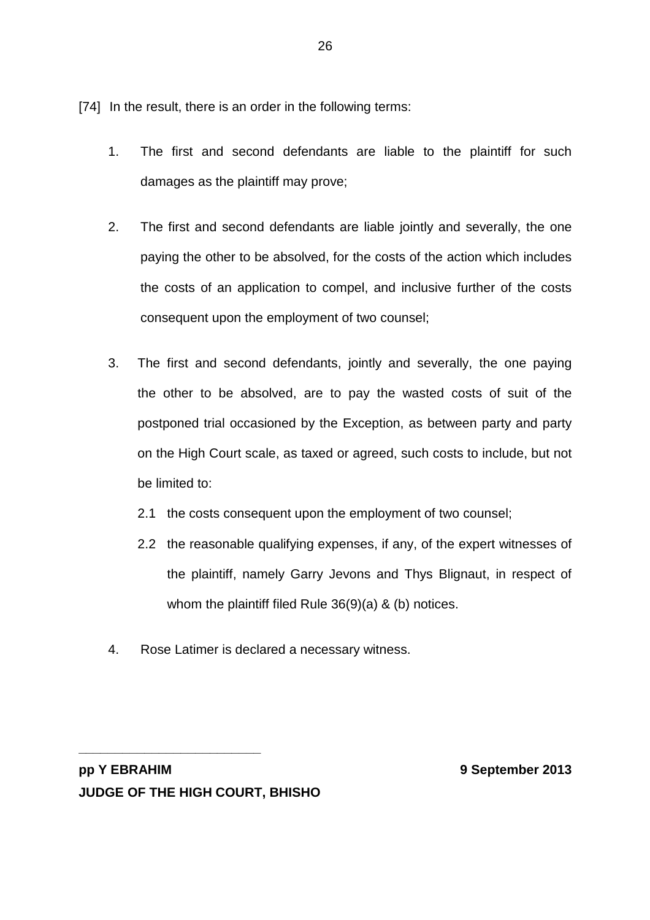[74] In the result, there is an order in the following terms:

- 1. The first and second defendants are liable to the plaintiff for such damages as the plaintiff may prove;
- 2. The first and second defendants are liable jointly and severally, the one paying the other to be absolved, for the costs of the action which includes the costs of an application to compel, and inclusive further of the costs consequent upon the employment of two counsel;
- 3. The first and second defendants, jointly and severally, the one paying the other to be absolved, are to pay the wasted costs of suit of the postponed trial occasioned by the Exception, as between party and party on the High Court scale, as taxed or agreed, such costs to include, but not be limited to:
	- 2.1 the costs consequent upon the employment of two counsel;
	- 2.2 the reasonable qualifying expenses, if any, of the expert witnesses of the plaintiff, namely Garry Jevons and Thys Blignaut, in respect of whom the plaintiff filed Rule 36(9)(a) & (b) notices.
- 4. Rose Latimer is declared a necessary witness.

**pp Y EBRAHIM 9 September 2013 JUDGE OF THE HIGH COURT, BHISHO**

**\_\_\_\_\_\_\_\_\_\_\_\_\_\_\_\_\_\_\_\_\_\_\_\_\_**